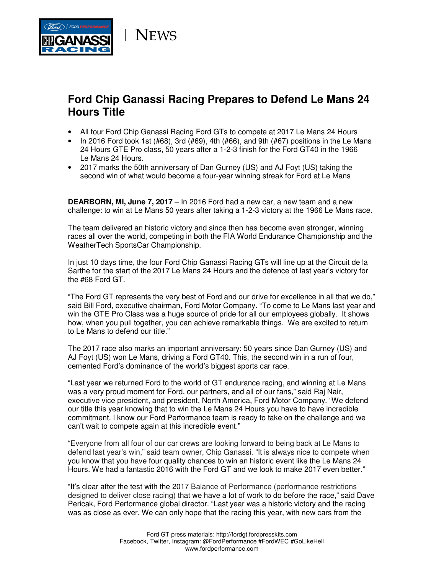

**NEWS** 

# **Ford Chip Ganassi Racing Prepares to Defend Le Mans 24 Hours Title**

- All four Ford Chip Ganassi Racing Ford GTs to compete at 2017 Le Mans 24 Hours
- In 2016 Ford took 1st  $(\#68)$ , 3rd  $(\#69)$ , 4th  $(\#66)$ , and 9th  $(\#67)$  positions in the Le Mans 24 Hours GTE Pro class, 50 years after a 1-2-3 finish for the Ford GT40 in the 1966 Le Mans 24 Hours.
- 2017 marks the 50th anniversary of Dan Gurney (US) and AJ Foyt (US) taking the second win of what would become a four-year winning streak for Ford at Le Mans

**DEARBORN, MI, June 7, 2017** – In 2016 Ford had a new car, a new team and a new challenge: to win at Le Mans 50 years after taking a 1-2-3 victory at the 1966 Le Mans race.

The team delivered an historic victory and since then has become even stronger, winning races all over the world, competing in both the FIA World Endurance Championship and the WeatherTech SportsCar Championship.

In just 10 days time, the four Ford Chip Ganassi Racing GTs will line up at the Circuit de la Sarthe for the start of the 2017 Le Mans 24 Hours and the defence of last year's victory for the #68 Ford GT.

"The Ford GT represents the very best of Ford and our drive for excellence in all that we do," said Bill Ford, executive chairman, Ford Motor Company. "To come to Le Mans last year and win the GTE Pro Class was a huge source of pride for all our employees globally. It shows how, when you pull together, you can achieve remarkable things. We are excited to return to Le Mans to defend our title."

The 2017 race also marks an important anniversary: 50 years since Dan Gurney (US) and AJ Foyt (US) won Le Mans, driving a Ford GT40. This, the second win in a run of four, cemented Ford's dominance of the world's biggest sports car race.

"Last year we returned Ford to the world of GT endurance racing, and winning at Le Mans was a very proud moment for Ford, our partners, and all of our fans," said Raj Nair, executive vice president, and president, North America, Ford Motor Company. "We defend our title this year knowing that to win the Le Mans 24 Hours you have to have incredible commitment. I know our Ford Performance team is ready to take on the challenge and we can't wait to compete again at this incredible event."

"Everyone from all four of our car crews are looking forward to being back at Le Mans to defend last year's win," said team owner, Chip Ganassi. "It is always nice to compete when you know that you have four quality chances to win an historic event like the Le Mans 24 Hours. We had a fantastic 2016 with the Ford GT and we look to make 2017 even better."

"It's clear after the test with the 2017 Balance of Performance (performance restrictions designed to deliver close racing) that we have a lot of work to do before the race," said Dave Pericak, Ford Performance global director. "Last year was a historic victory and the racing was as close as ever. We can only hope that the racing this year, with new cars from the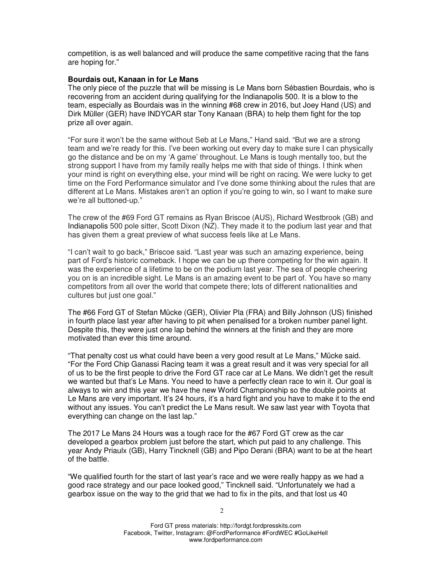competition, is as well balanced and will produce the same competitive racing that the fans are hoping for."

#### **Bourdais out, Kanaan in for Le Mans**

The only piece of the puzzle that will be missing is Le Mans born Sébastien Bourdais, who is recovering from an accident during qualifying for the Indianapolis 500. It is a blow to the team, especially as Bourdais was in the winning #68 crew in 2016, but Joey Hand (US) and Dirk Müller (GER) have INDYCAR star Tony Kanaan (BRA) to help them fight for the top prize all over again.

"For sure it won't be the same without Seb at Le Mans," Hand said. "But we are a strong team and we're ready for this. I've been working out every day to make sure I can physically go the distance and be on my 'A game' throughout. Le Mans is tough mentally too, but the strong support I have from my family really helps me with that side of things. I think when your mind is right on everything else, your mind will be right on racing. We were lucky to get time on the Ford Performance simulator and I've done some thinking about the rules that are different at Le Mans. Mistakes aren't an option if you're going to win, so I want to make sure we're all buttoned-up."

The crew of the #69 Ford GT remains as Ryan Briscoe (AUS), Richard Westbrook (GB) and Indianapolis 500 pole sitter, Scott Dixon (NZ). They made it to the podium last year and that has given them a great preview of what success feels like at Le Mans.

"I can't wait to go back," Briscoe said. "Last year was such an amazing experience, being part of Ford's historic comeback. I hope we can be up there competing for the win again. It was the experience of a lifetime to be on the podium last year. The sea of people cheering you on is an incredible sight. Le Mans is an amazing event to be part of. You have so many competitors from all over the world that compete there; lots of different nationalities and cultures but just one goal."

The #66 Ford GT of Stefan Mücke (GER), Olivier Pla (FRA) and Billy Johnson (US) finished in fourth place last year after having to pit when penalised for a broken number panel light. Despite this, they were just one lap behind the winners at the finish and they are more motivated than ever this time around.

"That penalty cost us what could have been a very good result at Le Mans," Mücke said. "For the Ford Chip Ganassi Racing team it was a great result and it was very special for all of us to be the first people to drive the Ford GT race car at Le Mans. We didn't get the result we wanted but that's Le Mans. You need to have a perfectly clean race to win it. Our goal is always to win and this year we have the new World Championship so the double points at Le Mans are very important. It's 24 hours, it's a hard fight and you have to make it to the end without any issues. You can't predict the Le Mans result. We saw last year with Toyota that everything can change on the last lap."

The 2017 Le Mans 24 Hours was a tough race for the #67 Ford GT crew as the car developed a gearbox problem just before the start, which put paid to any challenge. This year Andy Priaulx (GB), Harry Tincknell (GB) and Pipo Derani (BRA) want to be at the heart of the battle.

"We qualified fourth for the start of last year's race and we were really happy as we had a good race strategy and our pace looked good," Tincknell said. "Unfortunately we had a gearbox issue on the way to the grid that we had to fix in the pits, and that lost us 40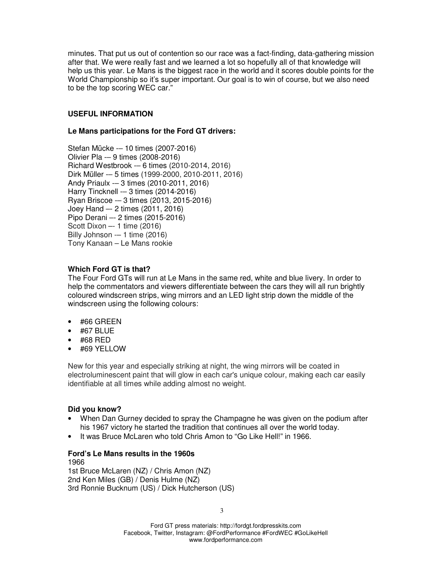minutes. That put us out of contention so our race was a fact-finding, data-gathering mission after that. We were really fast and we learned a lot so hopefully all of that knowledge will help us this year. Le Mans is the biggest race in the world and it scores double points for the World Championship so it's super important. Our goal is to win of course, but we also need to be the top scoring WEC car."

## **USEFUL INFORMATION**

### **Le Mans participations for the Ford GT drivers:**

Stefan Mücke -– 10 times (2007-2016) Olivier Pla -– 9 times (2008-2016) Richard Westbrook -– 6 times (2010-2014, 2016) Dirk Müller -– 5 times (1999-2000, 2010-2011, 2016) Andy Priaulx -– 3 times (2010-2011, 2016) Harry Tincknell -– 3 times (2014-2016) Ryan Briscoe -– 3 times (2013, 2015-2016) Joey Hand –- 2 times (2011, 2016) Pipo Derani –- 2 times (2015-2016) Scott Dixon –- 1 time (2016) Billy Johnson -– 1 time (2016) Tony Kanaan – Le Mans rookie

# **Which Ford GT is that?**

The Four Ford GTs will run at Le Mans in the same red, white and blue livery. In order to help the commentators and viewers differentiate between the cars they will all run brightly coloured windscreen strips, wing mirrors and an LED light strip down the middle of the windscreen using the following colours:

- #66 GREEN
- #67 BLUE
- #68 RED
- #69 YELLOW

New for this year and especially striking at night, the wing mirrors will be coated in electroluminescent paint that will glow in each car's unique colour, making each car easily identifiable at all times while adding almost no weight.

## **Did you know?**

- When Dan Gurney decided to spray the Champagne he was given on the podium after his 1967 victory he started the tradition that continues all over the world today.
- It was Bruce McLaren who told Chris Amon to "Go Like Hell!" in 1966.

#### **Ford's Le Mans results in the 1960s**

1966 1st Bruce McLaren (NZ) / Chris Amon (NZ) 2nd Ken Miles (GB) / Denis Hulme (NZ) 3rd Ronnie Bucknum (US) / Dick Hutcherson (US)

3

Ford GT press materials: http://fordgt.fordpresskits.com Facebook, Twitter, Instagram: @FordPerformance #FordWEC #GoLikeHell www.fordperformance.com